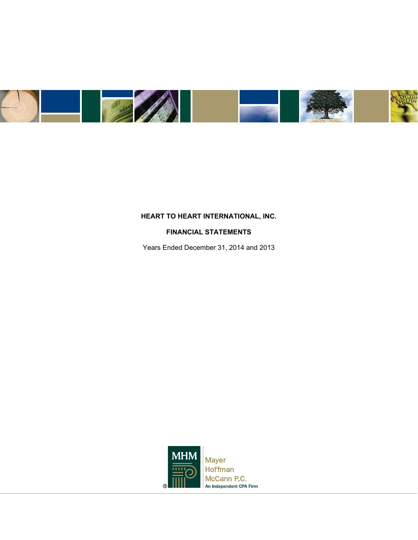

# **FINANCIAL STATEMENTS**

Years Ended December 31, 2014 and 2013

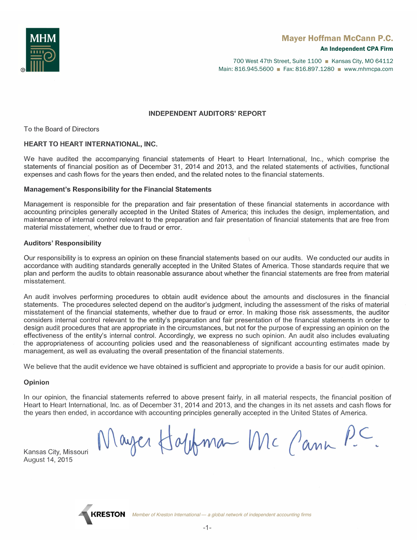

700 West 47th Street, Suite 1100 ■ Kansas City, MO 64112 Main: 816.945.5600 ■ Fax: 816.897.1280 ■ www.mhmcpa.com

#### **INDEPENDENT AUDITORS' REPORT**

**HEART INTERNATIONAL INTERNATIONAL STATE** 

# $W_{\text{L}}(x)$  is the accompanying financial statements of Heart Inc.

We have audited the accompanying financial statements of Heart to Heart International, Inc., which comprise the statements of financial position as of December 31, 2014 and 2013, and the related statements of activities, functional expenses and cash flows for the years then ended, and the related notes to the financial statements.

#### Management's Responsibility for the Financial Statements

Management is responsible for the preparation and fair presentation of these financial statements in accordance with accounting principles generally accepted in the United States of America; this includes the design, implementation, and maintenance of internal control relevant to the preparation and fair presentation of financial statements that are free from material misstatement, whether due to fraud or error.

# Our responsibility is to express an opinion on these financial statements based on our audits. We conducted our audits in

Our responsibility is to express an opinion on these financial statements based on our audits. We conducted our audits in accordance with auditing standards generally accepted in the United States of America. Those standards require that we plan and perform the audits to obtain reasonable assurance about whether the financial statements are free from material  $A_n$  audit involves performing procedures to obtain and disclosures in the financial and disclosures in the financial and disclosures in the financial and disclosures in the financial and disclosures in the financial and

An audit involves performing procedures to obtain audit evidence about the amounts and disclosures in the financial statements. The procedures selected depend on the auditor's judgment, including the assessment of the risks of material misstatement of the financial statements, whether due to fraud or error. In making those risk assessments, the auditor considers internal control relevant to the entity's preparation and fair presentation of the financial statements in order to design audit procedures that are appropriate in the circumstances, but not for the purpose of expressing an opinion on the effectiveness of the entity's internal control. Accordingly, we express no such opinion. An audit also includes evaluating the appropriateness of accounting policies used and the reasonableness of significant accounting estimates made by management, as well as evaluating the overall presentation of the financial statements.

We believe that the audit evidence we have obtained is sufficient and appropriate to provide a basis for our audit opinion.

# $\mathcal{L}_{\text{p}}$  statements referred to above present fairly, in all material position of  $\mathcal{L}_{\text{p}}$

In our opinion, the financial statements referred to above present fairly, in all material respects, the financial position of Heart to Heart International, Inc. as of December 31, 2014 and 2013, and the changes in its net assets and cash flows for the years then ended, in accordance with accounting principles generally accepted in the United States of America.

Kansas City, Missouri August 14, 2015

Mayer Happman Mc Cann P.C.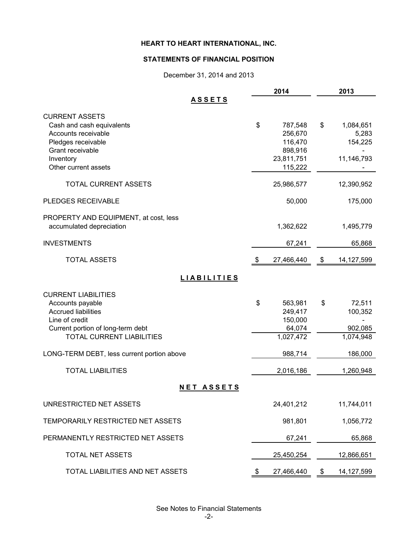# **STATEMENTS OF FINANCIAL POSITION**

December 31, 2014 and 2013

|                                                                                                                                                                         | 2014                                                                    | 2013                                              |
|-------------------------------------------------------------------------------------------------------------------------------------------------------------------------|-------------------------------------------------------------------------|---------------------------------------------------|
| <b>ASSETS</b>                                                                                                                                                           |                                                                         |                                                   |
| <b>CURRENT ASSETS</b><br>Cash and cash equivalents<br>Accounts receivable<br>Pledges receivable<br>Grant receivable<br>Inventory<br>Other current assets                | \$<br>787,548<br>256,670<br>116,470<br>898,916<br>23,811,751<br>115,222 | \$<br>1,084,651<br>5,283<br>154,225<br>11,146,793 |
| <b>TOTAL CURRENT ASSETS</b>                                                                                                                                             | 25,986,577                                                              | 12,390,952                                        |
| <b>PLEDGES RECEIVABLE</b>                                                                                                                                               | 50,000                                                                  | 175,000                                           |
| PROPERTY AND EQUIPMENT, at cost, less<br>accumulated depreciation                                                                                                       | 1,362,622                                                               | 1,495,779                                         |
| <b>INVESTMENTS</b>                                                                                                                                                      | 67,241                                                                  | 65,868                                            |
| <b>TOTAL ASSETS</b>                                                                                                                                                     | \$<br>27,466,440                                                        | \$<br>14, 127, 599                                |
| <b>LIABILITIES</b>                                                                                                                                                      |                                                                         |                                                   |
| <b>CURRENT LIABILITIES</b><br>Accounts payable<br><b>Accrued liabilities</b><br>Line of credit<br>Current portion of long-term debt<br><b>TOTAL CURRENT LIABILITIES</b> | \$<br>563,981<br>249,417<br>150,000<br>64,074<br>1,027,472              | \$<br>72,511<br>100,352<br>902,085<br>1,074,948   |
| LONG-TERM DEBT, less current portion above                                                                                                                              | 988,714                                                                 | 186,000                                           |
| <b>TOTAL LIABILITIES</b>                                                                                                                                                | 2,016,186                                                               | 1,260,948                                         |
| <b>NET ASSETS</b>                                                                                                                                                       |                                                                         |                                                   |
| UNRESTRICTED NET ASSETS                                                                                                                                                 | 24,401,212                                                              | 11,744,011                                        |
| TEMPORARILY RESTRICTED NET ASSETS                                                                                                                                       | 981,801                                                                 | 1,056,772                                         |
| PERMANENTLY RESTRICTED NET ASSETS                                                                                                                                       | 67,241                                                                  | 65,868                                            |
| TOTAL NET ASSETS                                                                                                                                                        | 25,450,254                                                              | 12,866,651                                        |
| TOTAL LIABILITIES AND NET ASSETS                                                                                                                                        | \$<br>27,466,440                                                        | \$<br>14,127,599                                  |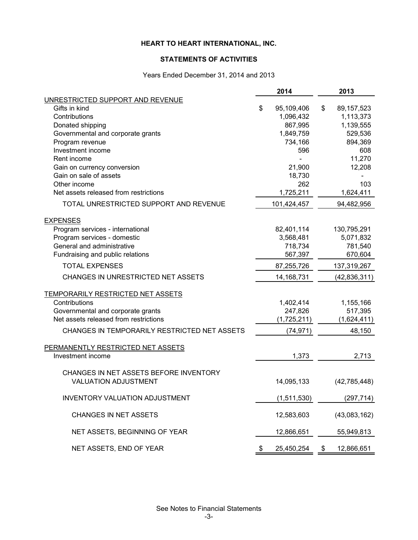#### **STATEMENTS OF ACTIVITIES**

Years Ended December 31, 2014 and 2013

|                                              | 2014 |             |    | 2013           |  |  |
|----------------------------------------------|------|-------------|----|----------------|--|--|
| UNRESTRICTED SUPPORT AND REVENUE             |      |             |    |                |  |  |
| Gifts in kind                                | \$   | 95,109,406  | \$ | 89, 157, 523   |  |  |
| Contributions                                |      | 1,096,432   |    | 1,113,373      |  |  |
| Donated shipping                             |      | 867,995     |    | 1,139,555      |  |  |
| Governmental and corporate grants            |      | 1,849,759   |    | 529,536        |  |  |
| Program revenue                              |      | 734,166     |    | 894,369        |  |  |
| Investment income<br>Rent income             |      | 596         |    | 608<br>11,270  |  |  |
| Gain on currency conversion                  |      | 21,900      |    | 12,208         |  |  |
| Gain on sale of assets                       |      | 18,730      |    |                |  |  |
| Other income                                 |      | 262         |    | 103            |  |  |
| Net assets released from restrictions        |      | 1,725,211   |    | 1,624,411      |  |  |
| TOTAL UNRESTRICTED SUPPORT AND REVENUE       |      | 101,424,457 |    | 94,482,956     |  |  |
| <b>EXPENSES</b>                              |      |             |    |                |  |  |
| Program services - international             |      | 82,401,114  |    | 130,795,291    |  |  |
| Program services - domestic                  |      | 3,568,481   |    | 5,071,832      |  |  |
| General and administrative                   |      | 718,734     |    | 781,540        |  |  |
| Fundraising and public relations             |      | 567,397     |    | 670,604        |  |  |
| <b>TOTAL EXPENSES</b>                        |      | 87,255,726  |    | 137,319,267    |  |  |
| CHANGES IN UNRESTRICTED NET ASSETS           |      | 14,168,731  |    | (42, 836, 311) |  |  |
| TEMPORARILY RESTRICTED NET ASSETS            |      |             |    |                |  |  |
| Contributions                                |      | 1,402,414   |    | 1,155,166      |  |  |
| Governmental and corporate grants            |      | 247,826     |    | 517,395        |  |  |
| Net assets released from restrictions        |      | (1,725,211) |    | (1,624,411)    |  |  |
| CHANGES IN TEMPORARILY RESTRICTED NET ASSETS |      | (74, 971)   |    | 48,150         |  |  |
| PERMANENTLY RESTRICTED NET ASSETS            |      |             |    |                |  |  |
| Investment income                            |      | 1,373       |    | 2,713          |  |  |
| CHANGES IN NET ASSETS BEFORE INVENTORY       |      |             |    |                |  |  |
| <b>VALUATION ADJUSTMENT</b>                  |      | 14,095,133  |    | (42, 785, 448) |  |  |
| <b>INVENTORY VALUATION ADJUSTMENT</b>        |      | (1,511,530) |    | (297, 714)     |  |  |
| CHANGES IN NET ASSETS                        |      | 12,583,603  |    | (43,083,162)   |  |  |
| NET ASSETS, BEGINNING OF YEAR                |      | 12,866,651  |    | 55,949,813     |  |  |
| NET ASSETS, END OF YEAR                      | \$   | 25,450,254  | \$ | 12,866,651     |  |  |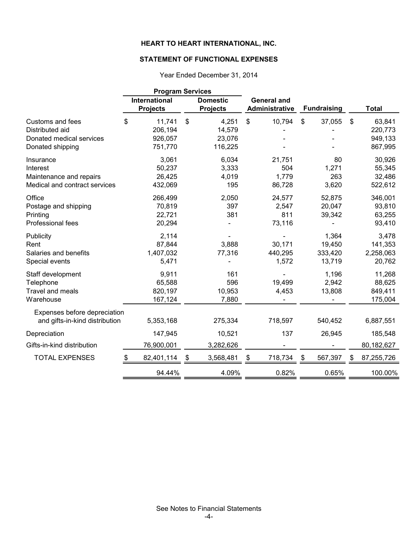# **STATEMENT OF FUNCTIONAL EXPENSES**

| Year Ended December 31, 2014 |  |
|------------------------------|--|
|                              |  |

|                                                                                   | <b>Program Services</b>                 |                           |                                    |                                      |                |                                      |              |                                         |
|-----------------------------------------------------------------------------------|-----------------------------------------|---------------------------|------------------------------------|--------------------------------------|----------------|--------------------------------------|--------------|-----------------------------------------|
|                                                                                   | <b>International</b><br><b>Projects</b> |                           | <b>Domestic</b><br><b>Projects</b> | <b>General and</b><br>Administrative |                | <b>Fundraising</b>                   |              | <b>Total</b>                            |
| <b>Customs and fees</b><br>Distributed aid                                        | \$<br>11,741<br>206,194                 | $\boldsymbol{\mathsf{S}}$ | 4,251<br>14,579                    | \$<br>10,794                         | $\mathfrak{S}$ | 37,055                               | $\mathbb{S}$ | 63,841<br>220,773                       |
| Donated medical services<br>Donated shipping                                      | 926,057<br>751,770                      |                           | 23,076<br>116,225                  |                                      |                |                                      |              | 949,133<br>867,995                      |
| Insurance<br>Interest<br>Maintenance and repairs<br>Medical and contract services | 3,061<br>50,237<br>26,425<br>432,069    |                           | 6,034<br>3,333<br>4,019<br>195     | 21,751<br>504<br>1,779<br>86,728     |                | 80<br>1,271<br>263<br>3,620          |              | 30,926<br>55,345<br>32,486<br>522,612   |
| Office<br>Postage and shipping<br>Printing<br>Professional fees                   | 266,499<br>70,819<br>22,721<br>20,294   |                           | 2,050<br>397<br>381                | 24,577<br>2,547<br>811<br>73,116     |                | 52,875<br>20,047<br>39,342           |              | 346,001<br>93,810<br>63,255<br>93,410   |
| Publicity<br>Rent<br>Salaries and benefits<br>Special events                      | 2,114<br>87,844<br>1,407,032<br>5,471   |                           | 3,888<br>77,316                    | 30,171<br>440,295<br>1,572           |                | 1,364<br>19,450<br>333,420<br>13,719 |              | 3,478<br>141,353<br>2,258,063<br>20,762 |
| Staff development<br>Telephone<br><b>Travel and meals</b><br>Warehouse            | 9,911<br>65,588<br>820,197<br>167,124   |                           | 161<br>596<br>10,953<br>7,880      | 19,499<br>4,453                      |                | 1,196<br>2,942<br>13,808             |              | 11,268<br>88,625<br>849,411<br>175,004  |
| Expenses before depreciation<br>and gifts-in-kind distribution                    | 5,353,168                               |                           | 275,334                            | 718,597                              |                | 540,452                              |              | 6,887,551                               |
| Depreciation                                                                      | 147,945                                 |                           | 10,521                             | 137                                  |                | 26,945                               |              | 185,548                                 |
| Gifts-in-kind distribution                                                        | 76,900,001                              |                           | 3,282,626                          |                                      |                |                                      |              | 80,182,627                              |
| <b>TOTAL EXPENSES</b>                                                             | \$<br>82,401,114                        | \$                        | 3,568,481                          | \$<br>718,734                        | $\$\$          | 567,397                              |              | 87,255,726                              |
|                                                                                   | 94.44%                                  |                           | 4.09%                              | 0.82%                                |                | 0.65%                                |              | 100.00%                                 |

See Notes to Financial Statements -4-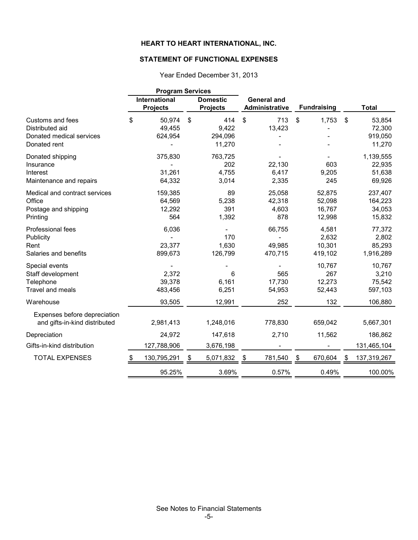# **STATEMENT OF FUNCTIONAL EXPENSES**

|                               | <b>Program Services</b>          |                                    |                                      |                    |    |              |
|-------------------------------|----------------------------------|------------------------------------|--------------------------------------|--------------------|----|--------------|
|                               | International<br><b>Projects</b> | <b>Domestic</b><br><b>Projects</b> | <b>General and</b><br>Administrative | <b>Fundraising</b> |    | <b>Total</b> |
| Customs and fees              | \$<br>50,974                     | \$<br>414                          | \$<br>713                            | \$<br>1,753        | \$ | 53,854       |
| Distributed aid               | 49,455                           | 9,422                              | 13,423                               |                    |    | 72,300       |
| Donated medical services      | 624,954                          | 294,096                            |                                      |                    |    | 919,050      |
| Donated rent                  |                                  | 11,270                             |                                      |                    |    | 11,270       |
| Donated shipping              | 375,830                          | 763,725                            |                                      |                    |    | 1,139,555    |
| Insurance                     |                                  | 202                                | 22,130                               | 603                |    | 22,935       |
| Interest                      | 31,261                           | 4,755                              | 6,417                                | 9,205              |    | 51,638       |
| Maintenance and repairs       | 64,332                           | 3,014                              | 2,335                                | 245                |    | 69,926       |
| Medical and contract services | 159,385                          | 89                                 | 25,058                               | 52,875             |    | 237,407      |
| Office                        | 64,569                           | 5,238                              | 42,318                               | 52,098             |    | 164,223      |
| Postage and shipping          | 12,292                           | 391                                | 4,603                                | 16,767             |    | 34,053       |
| Printing                      | 564                              | 1,392                              | 878                                  | 12,998             |    | 15,832       |
| Professional fees             | 6,036                            |                                    | 66,755                               | 4,581              |    | 77,372       |
| Publicity                     |                                  | 170                                |                                      | 2,632              |    | 2,802        |
| Rent                          | 23,377                           | 1,630                              | 49,985                               | 10,301             |    | 85,293       |
| Salaries and benefits         | 899,673                          | 126,799                            | 470,715                              | 419,102            |    | 1,916,289    |
| Special events                |                                  |                                    |                                      | 10,767             |    | 10,767       |
| Staff development             | 2,372                            | 6                                  | 565                                  | 267                |    | 3,210        |
| Telephone                     | 39,378                           | 6,161                              | 17,730                               | 12,273             |    | 75,542       |
| Travel and meals              | 483,456                          | 6,251                              | 54,953                               | 52,443             |    | 597,103      |
| Warehouse                     | 93,505                           | 12,991                             | 252                                  | 132                |    | 106,880      |
| Expenses before depreciation  |                                  |                                    |                                      |                    |    |              |
| and gifts-in-kind distributed | 2,981,413                        | 1,248,016                          | 778,830                              | 659,042            |    | 5,667,301    |
| Depreciation                  | 24,972                           | 147,618                            | 2,710                                | 11,562             |    | 186,862      |
| Gifts-in-kind distribution    | 127,788,906                      | 3,676,198                          |                                      |                    |    | 131,465,104  |
| <b>TOTAL EXPENSES</b>         | 130,795,291                      | \$<br>5,071,832                    | \$<br>781,540                        | \$<br>670,604      | S  | 137,319,267  |
|                               | 95.25%                           | 3.69%                              | 0.57%                                | 0.49%              |    | 100.00%      |

Year Ended December 31, 2013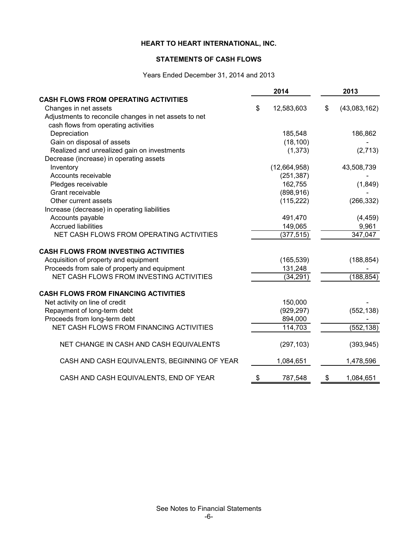### **STATEMENTS OF CASH FLOWS**

Years Ended December 31, 2014 and 2013

|                                                       |    | 2014         | 2013 |              |  |
|-------------------------------------------------------|----|--------------|------|--------------|--|
| <b>CASH FLOWS FROM OPERATING ACTIVITIES</b>           |    |              |      |              |  |
| Changes in net assets                                 | \$ | 12,583,603   | \$   | (43,083,162) |  |
| Adjustments to reconcile changes in net assets to net |    |              |      |              |  |
| cash flows from operating activities                  |    |              |      |              |  |
| Depreciation                                          |    | 185,548      |      | 186,862      |  |
| Gain on disposal of assets                            |    | (18, 100)    |      |              |  |
| Realized and unrealized gain on investments           |    | (1, 373)     |      | (2,713)      |  |
| Decrease (increase) in operating assets               |    |              |      |              |  |
| Inventory                                             |    | (12,664,958) |      | 43,508,739   |  |
| Accounts receivable                                   |    | (251, 387)   |      |              |  |
| Pledges receivable                                    |    | 162,755      |      | (1,849)      |  |
| Grant receivable                                      |    | (898, 916)   |      |              |  |
| Other current assets                                  |    | (115, 222)   |      | (266, 332)   |  |
| Increase (decrease) in operating liabilities          |    |              |      |              |  |
| Accounts payable                                      |    | 491,470      |      | (4, 459)     |  |
| <b>Accrued liabilities</b>                            |    | 149,065      |      | 9,961        |  |
| NET CASH FLOWS FROM OPERATING ACTIVITIES              |    | (377, 515)   |      | 347,047      |  |
| <b>CASH FLOWS FROM INVESTING ACTIVITIES</b>           |    |              |      |              |  |
| Acquisition of property and equipment                 |    | (165, 539)   |      | (188, 854)   |  |
| Proceeds from sale of property and equipment          |    | 131,248      |      |              |  |
| NET CASH FLOWS FROM INVESTING ACTIVITIES              |    | (34, 291)    |      | (188, 854)   |  |
| <b>CASH FLOWS FROM FINANCING ACTIVITIES</b>           |    |              |      |              |  |
| Net activity on line of credit                        |    | 150,000      |      |              |  |
| Repayment of long-term debt                           |    | (929, 297)   |      | (552, 138)   |  |
| Proceeds from long-term debt                          |    | 894,000      |      |              |  |
| NET CASH FLOWS FROM FINANCING ACTIVITIES              |    | 114,703      |      | (552, 138)   |  |
| NET CHANGE IN CASH AND CASH EQUIVALENTS               |    | (297, 103)   |      | (393, 945)   |  |
| CASH AND CASH EQUIVALENTS, BEGINNING OF YEAR          |    | 1,084,651    |      | 1,478,596    |  |
| CASH AND CASH EQUIVALENTS, END OF YEAR                | \$ | 787,548      | \$   | 1,084,651    |  |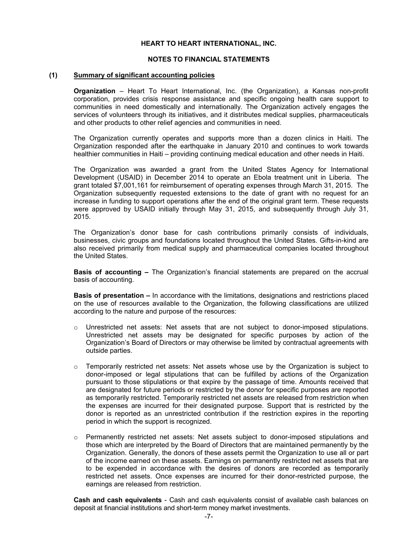#### **NOTES TO FINANCIAL STATEMENTS**

#### **(1) Summary of significant accounting policies**

**Organization** – Heart To Heart International, Inc. (the Organization), a Kansas non-profit corporation, provides crisis response assistance and specific ongoing health care support to communities in need domestically and internationally. The Organization actively engages the services of volunteers through its initiatives, and it distributes medical supplies, pharmaceuticals and other products to other relief agencies and communities in need.

The Organization currently operates and supports more than a dozen clinics in Haiti. The Organization responded after the earthquake in January 2010 and continues to work towards healthier communities in Haiti – providing continuing medical education and other needs in Haiti.

The Organization was awarded a grant from the United States Agency for International Development (USAID) in December 2014 to operate an Ebola treatment unit in Liberia. The grant totaled \$7,001,161 for reimbursement of operating expenses through March 31, 2015. The Organization subsequently requested extensions to the date of grant with no request for an increase in funding to support operations after the end of the original grant term. These requests were approved by USAID initially through May 31, 2015, and subsequently through July 31, 2015.

The Organization's donor base for cash contributions primarily consists of individuals, businesses, civic groups and foundations located throughout the United States. Gifts-in-kind are also received primarily from medical supply and pharmaceutical companies located throughout the United States.

**Basis of accounting –** The Organization's financial statements are prepared on the accrual basis of accounting.

**Basis of presentation –** In accordance with the limitations, designations and restrictions placed on the use of resources available to the Organization, the following classifications are utilized according to the nature and purpose of the resources:

- $\circ$  Unrestricted net assets: Net assets that are not subject to donor-imposed stipulations. Unrestricted net assets may be designated for specific purposes by action of the Organization's Board of Directors or may otherwise be limited by contractual agreements with outside parties.
- $\circ$  Temporarily restricted net assets: Net assets whose use by the Organization is subject to donor-imposed or legal stipulations that can be fulfilled by actions of the Organization pursuant to those stipulations or that expire by the passage of time. Amounts received that are designated for future periods or restricted by the donor for specific purposes are reported as temporarily restricted. Temporarily restricted net assets are released from restriction when the expenses are incurred for their designated purpose. Support that is restricted by the donor is reported as an unrestricted contribution if the restriction expires in the reporting period in which the support is recognized.
- $\circ$  Permanently restricted net assets: Net assets subject to donor-imposed stipulations and those which are interpreted by the Board of Directors that are maintained permanently by the Organization. Generally, the donors of these assets permit the Organization to use all or part of the income earned on these assets. Earnings on permanently restricted net assets that are to be expended in accordance with the desires of donors are recorded as temporarily restricted net assets. Once expenses are incurred for their donor-restricted purpose, the earnings are released from restriction.

**Cash and cash equivalents** - Cash and cash equivalents consist of available cash balances on deposit at financial institutions and short-term money market investments.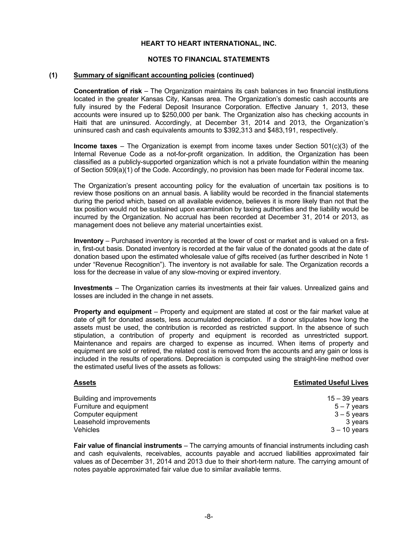#### **NOTES TO FINANCIAL STATEMENTS**

#### **(1) Summary of significant accounting policies (continued)**

**Concentration of risk** – The Organization maintains its cash balances in two financial institutions located in the greater Kansas City, Kansas area. The Organization's domestic cash accounts are fully insured by the Federal Deposit Insurance Corporation. Effective January 1, 2013, these accounts were insured up to \$250,000 per bank. The Organization also has checking accounts in Haiti that are uninsured. Accordingly, at December 31, 2014 and 2013, the Organization's uninsured cash and cash equivalents amounts to \$392,313 and \$483,191, respectively.

**Income taxes** – The Organization is exempt from income taxes under Section 501(c)(3) of the Internal Revenue Code as a not-for-profit organization. In addition, the Organization has been classified as a publicly-supported organization which is not a private foundation within the meaning of Section 509(a)(1) of the Code. Accordingly, no provision has been made for Federal income tax.

The Organization's present accounting policy for the evaluation of uncertain tax positions is to review those positions on an annual basis. A liability would be recorded in the financial statements during the period which, based on all available evidence, believes it is more likely than not that the tax position would not be sustained upon examination by taxing authorities and the liability would be incurred by the Organization. No accrual has been recorded at December 31, 2014 or 2013, as management does not believe any material uncertainties exist.

 **Inventory** – Purchased inventory is recorded at the lower of cost or market and is valued on a firstin, first-out basis. Donated inventory is recorded at the fair value of the donated goods at the date of donation based upon the estimated wholesale value of gifts received (as further described in Note 1 under "Revenue Recognition"). The inventory is not available for sale. The Organization records a loss for the decrease in value of any slow-moving or expired inventory.

 **Investments** – The Organization carries its investments at their fair values. Unrealized gains and losses are included in the change in net assets.

 **Property and equipment** – Property and equipment are stated at cost or the fair market value at date of gift for donated assets, less accumulated depreciation. If a donor stipulates how long the assets must be used, the contribution is recorded as restricted support. In the absence of such stipulation, a contribution of property and equipment is recorded as unrestricted support. Maintenance and repairs are charged to expense as incurred. When items of property and equipment are sold or retired, the related cost is removed from the accounts and any gain or loss is included in the results of operations. Depreciation is computed using the straight-line method over the estimated useful lives of the assets as follows:

#### **Assets Estimated Useful Lives**

15 – 39 years  $5 - 7$  years  $3 - 5$  years 3 years 3 – 10 years

Building and improvements Furniture and equipment Computer equipment Leasehold improvements Vehicles

**Fair value of financial instruments** – The carrying amounts of financial instruments including cash and cash equivalents, receivables, accounts payable and accrued liabilities approximated fair values as of December 31, 2014 and 2013 due to their short-term nature. The carrying amount of notes payable approximated fair value due to similar available terms.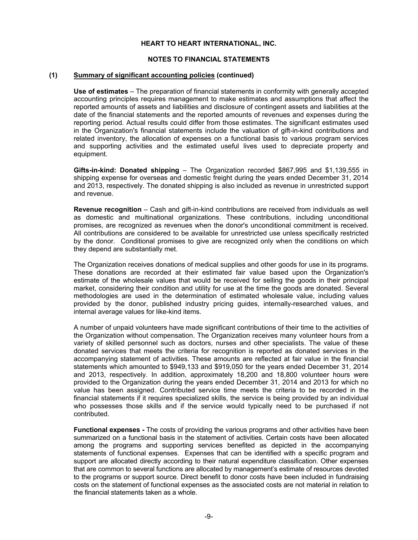#### **NOTES TO FINANCIAL STATEMENTS**

#### **(1) Summary of significant accounting policies (continued)**

**Use of estimates** – The preparation of financial statements in conformity with generally accepted accounting principles requires management to make estimates and assumptions that affect the reported amounts of assets and liabilities and disclosure of contingent assets and liabilities at the date of the financial statements and the reported amounts of revenues and expenses during the reporting period. Actual results could differ from those estimates. The significant estimates used in the Organization's financial statements include the valuation of gift-in-kind contributions and related inventory, the allocation of expenses on a functional basis to various program services and supporting activities and the estimated useful lives used to depreciate property and equipment.

**Gifts-in-kind: Donated shipping** – The Organization recorded \$867,995 and \$1,139,555 in shipping expense for overseas and domestic freight during the years ended December 31, 2014 and 2013, respectively. The donated shipping is also included as revenue in unrestricted support and revenue.

**Revenue recognition** – Cash and gift-in-kind contributions are received from individuals as well as domestic and multinational organizations. These contributions, including unconditional promises, are recognized as revenues when the donor's unconditional commitment is received. All contributions are considered to be available for unrestricted use unless specifically restricted by the donor. Conditional promises to give are recognized only when the conditions on which they depend are substantially met.

The Organization receives donations of medical supplies and other goods for use in its programs. These donations are recorded at their estimated fair value based upon the Organization's estimate of the wholesale values that would be received for selling the goods in their principal market, considering their condition and utility for use at the time the goods are donated. Several methodologies are used in the determination of estimated wholesale value, including values provided by the donor, published industry pricing guides, internally-researched values, and internal average values for like-kind items.

 A number of unpaid volunteers have made significant contributions of their time to the activities of the Organization without compensation. The Organization receives many volunteer hours from a variety of skilled personnel such as doctors, nurses and other specialists. The value of these donated services that meets the criteria for recognition is reported as donated services in the accompanying statement of activities. These amounts are reflected at fair value in the financial statements which amounted to \$949,133 and \$919,050 for the years ended December 31, 2014 and 2013, respectively. In addition, approximately 18,200 and 18,800 volunteer hours were provided to the Organization during the years ended December 31, 2014 and 2013 for which no value has been assigned. Contributed service time meets the criteria to be recorded in the financial statements if it requires specialized skills, the service is being provided by an individual who possesses those skills and if the service would typically need to be purchased if not contributed.

**Functional expenses -** The costs of providing the various programs and other activities have been summarized on a functional basis in the statement of activities. Certain costs have been allocated among the programs and supporting services benefited as depicted in the accompanying statements of functional expenses. Expenses that can be identified with a specific program and support are allocated directly according to their natural expenditure classification. Other expenses that are common to several functions are allocated by management's estimate of resources devoted to the programs or support source. Direct benefit to donor costs have been included in fundraising costs on the statement of functional expenses as the associated costs are not material in relation to the financial statements taken as a whole.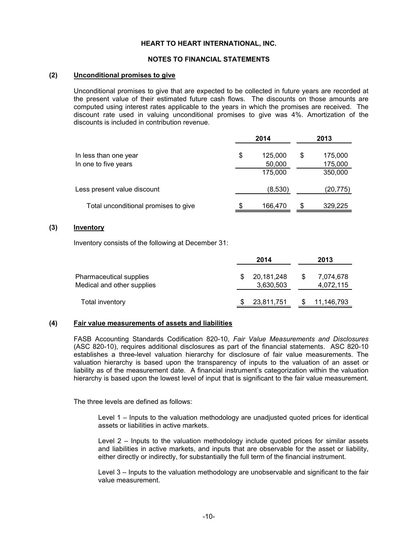#### **NOTES TO FINANCIAL STATEMENTS**

#### **(2) Unconditional promises to give**

Unconditional promises to give that are expected to be collected in future years are recorded at the present value of their estimated future cash flows. The discounts on those amounts are computed using interest rates applicable to the years in which the promises are received. The discount rate used in valuing unconditional promises to give was 4%. Amortization of the discounts is included in contribution revenue.

|                                      |    | 2014    |   | 2013     |
|--------------------------------------|----|---------|---|----------|
| In less than one year                | \$ | 125,000 | S | 175,000  |
| In one to five years                 |    | 50,000  |   | 175,000  |
|                                      |    | 175,000 |   | 350,000  |
| Less present value discount          |    | (8,530) |   | (20,775) |
| Total unconditional promises to give | S  | 166,470 | S | 329,225  |

#### **(3) Inventory**

Inventory consists of the following at December 31:

|                                                       | 2014                    |    | 2013                   |
|-------------------------------------------------------|-------------------------|----|------------------------|
| Pharmaceutical supplies<br>Medical and other supplies | 20,181,248<br>3,630,503 | S. | 7,074,678<br>4,072,115 |
| Total inventory                                       | 23,811,751              |    | 11,146,793             |

#### **(4) Fair value measurements of assets and liabilities**

FASB Accounting Standards Codification 820-10, *Fair Value Measurements and Disclosures* (ASC 820-10), requires additional disclosures as part of the financial statements. ASC 820-10 establishes a three-level valuation hierarchy for disclosure of fair value measurements. The valuation hierarchy is based upon the transparency of inputs to the valuation of an asset or liability as of the measurement date. A financial instrument's categorization within the valuation hierarchy is based upon the lowest level of input that is significant to the fair value measurement.

The three levels are defined as follows:

Level 1 – Inputs to the valuation methodology are unadjusted quoted prices for identical assets or liabilities in active markets.

Level 2 – Inputs to the valuation methodology include quoted prices for similar assets and liabilities in active markets, and inputs that are observable for the asset or liability, either directly or indirectly, for substantially the full term of the financial instrument.

Level 3 – Inputs to the valuation methodology are unobservable and significant to the fair value measurement.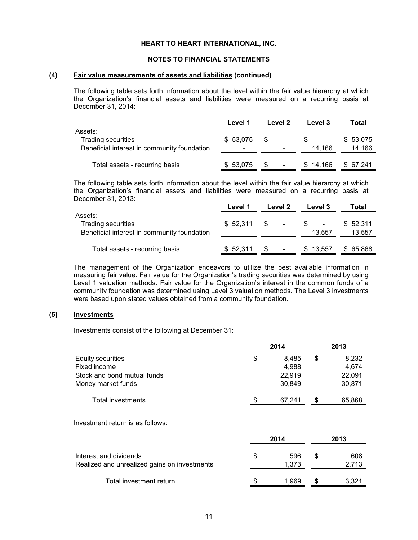#### **NOTES TO FINANCIAL STATEMENTS**

#### **(4) Fair value measurements of assets and liabilities (continued)**

The following table sets forth information about the level within the fair value hierarchy at which the Organization's financial assets and liabilities were measured on a recurring basis at December 31, 2014:

|                                                                                     | Level 1  | Level 2                         | Level 3       | Total              |  |
|-------------------------------------------------------------------------------------|----------|---------------------------------|---------------|--------------------|--|
| Assets:<br><b>Trading securities</b><br>Beneficial interest in community foundation | \$53,075 | -SS<br>$\overline{\phantom{a}}$ | \$.<br>14.166 | \$53,075<br>14,166 |  |
| Total assets - recurring basis                                                      | \$53,075 | $\overline{\phantom{a}}$        | \$14.166      | \$67.241           |  |

The following table sets forth information about the level within the fair value hierarchy at which the Organization's financial assets and liabilities were measured on a recurring basis at December 31, 2013:

|                                                                                     | Level 1  | Level 2                        | Level 3                            | Total              |
|-------------------------------------------------------------------------------------|----------|--------------------------------|------------------------------------|--------------------|
| Assets:<br><b>Trading securities</b><br>Beneficial interest in community foundation | \$52.311 | S.<br>$\overline{\phantom{a}}$ | $\overline{\phantom{a}}$<br>13.557 | \$52,311<br>13,557 |
| Total assets - recurring basis                                                      | \$52,311 | $\overline{\phantom{a}}$       | \$13.557                           | 65,868<br>S.       |

The management of the Organization endeavors to utilize the best available information in measuring fair value. Fair value for the Organization's trading securities was determined by using Level 1 valuation methods. Fair value for the Organization's interest in the common funds of a community foundation was determined using Level 3 valuation methods. The Level 3 investments were based upon stated values obtained from a community foundation.

# **(5) Investments**

Investments consist of the following at December 31:

|                             |    | 2014   |   | 2013   |
|-----------------------------|----|--------|---|--------|
| Equity securities           | \$ | 8.485  | S | 8,232  |
| Fixed income                |    | 4.988  |   | 4.674  |
| Stock and bond mutual funds |    | 22.919 |   | 22,091 |
| Money market funds          |    | 30,849 |   | 30,871 |
| Total investments           | S  | 67.241 | S | 65,868 |
|                             |    |        |   |        |

Investment return is as follows:

|                                                                        |   |                                    |              | 2013  |
|------------------------------------------------------------------------|---|------------------------------------|--------------|-------|
| Interest and dividends<br>Realized and unrealized gains on investments | S | 2014<br>596<br>S<br>1.373<br>1.969 | 608<br>2.713 |       |
| Total investment return                                                |   |                                    |              | 3.321 |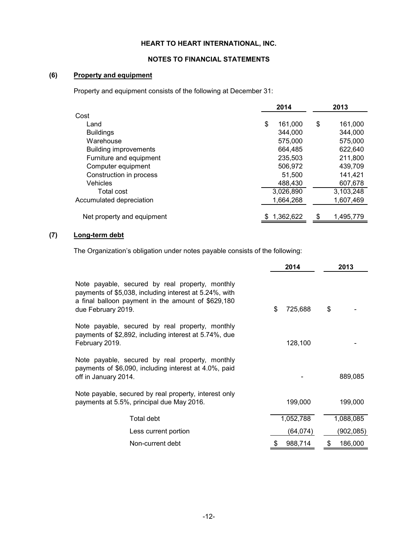#### **NOTES TO FINANCIAL STATEMENTS**

# **(6) Property and equipment**

Property and equipment consists of the following at December 31:

|                              | 2014          | 2013            |  |
|------------------------------|---------------|-----------------|--|
| Cost                         |               |                 |  |
| Land                         | \$<br>161.000 | \$<br>161.000   |  |
| <b>Buildings</b>             | 344.000       | 344.000         |  |
| Warehouse                    | 575,000       | 575,000         |  |
| <b>Building improvements</b> | 664.485       | 622.640         |  |
| Furniture and equipment      | 235,503       | 211,800         |  |
| Computer equipment           | 506,972       | 439,709         |  |
| Construction in process      | 51.500        | 141.421         |  |
| Vehicles                     | 488,430       | 607,678         |  |
| Total cost                   | 3,026,890     | 3,103,248       |  |
| Accumulated depreciation     | 1.664.268     | 1.607.469       |  |
|                              |               |                 |  |
| Net property and equipment   | 1,362,622     | \$<br>1,495,779 |  |

# **(7) Long-term debt**

The Organization's obligation under notes payable consists of the following:

|                                                                                                                                                                                       | 2014          | 2013          |
|---------------------------------------------------------------------------------------------------------------------------------------------------------------------------------------|---------------|---------------|
| Note payable, secured by real property, monthly<br>payments of \$5,038, including interest at 5.24%, with<br>a final balloon payment in the amount of \$629,180<br>due February 2019. | \$<br>725,688 | \$            |
| Note payable, secured by real property, monthly<br>payments of \$2,892, including interest at 5.74%, due<br>February 2019.                                                            | 128,100       |               |
| Note payable, secured by real property, monthly<br>payments of \$6,090, including interest at 4.0%, paid<br>off in January 2014.                                                      |               | 889,085       |
| Note payable, secured by real property, interest only<br>payments at 5.5%, principal due May 2016.                                                                                    | 199,000       | 199,000       |
| Total debt                                                                                                                                                                            | 1,052,788     | 1,088,085     |
| Less current portion                                                                                                                                                                  | (64, 074)     | (902, 085)    |
| Non-current debt                                                                                                                                                                      | 988,714       | 186,000<br>\$ |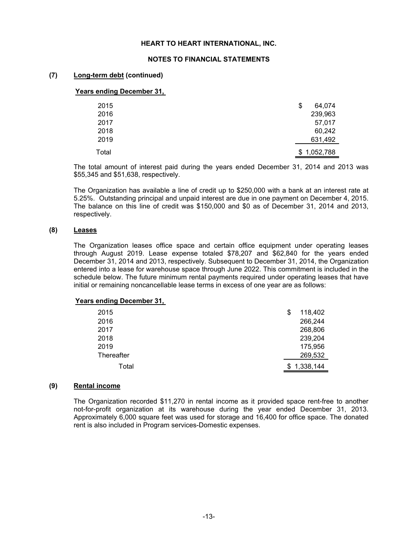#### **NOTES TO FINANCIAL STATEMENTS**

#### **(7) Long-term debt (continued)**

#### **Years ending December 31,**

| 2015  | \$ | 64,074      |
|-------|----|-------------|
| 2016  |    | 239,963     |
| 2017  |    | 57,017      |
| 2018  |    | 60,242      |
| 2019  |    | 631,492     |
| Total |    | \$1,052,788 |

The total amount of interest paid during the years ended December 31, 2014 and 2013 was \$55,345 and \$51,638, respectively.

The Organization has available a line of credit up to \$250,000 with a bank at an interest rate at 5.25%. Outstanding principal and unpaid interest are due in one payment on December 4, 2015. The balance on this line of credit was \$150,000 and \$0 as of December 31, 2014 and 2013, respectively.

#### **(8) Leases**

The Organization leases office space and certain office equipment under operating leases through August 2019. Lease expense totaled \$78,207 and \$62,840 for the years ended December 31, 2014 and 2013, respectively. Subsequent to December 31, 2014, the Organization entered into a lease for warehouse space through June 2022. This commitment is included in the schedule below. The future minimum rental payments required under operating leases that have initial or remaining noncancellable lease terms in excess of one year are as follows:

#### **Years ending December 31,**

| 2015       | 118,402<br>S |
|------------|--------------|
| 2016       | 266,244      |
| 2017       | 268,806      |
| 2018       | 239,204      |
| 2019       | 175,956      |
| Thereafter | 269,532      |
| Total      | \$1,338,144  |

#### **(9) Rental income**

The Organization recorded \$11,270 in rental income as it provided space rent-free to another not-for-profit organization at its warehouse during the year ended December 31, 2013. Approximately 6,000 square feet was used for storage and 16,400 for office space. The donated rent is also included in Program services-Domestic expenses.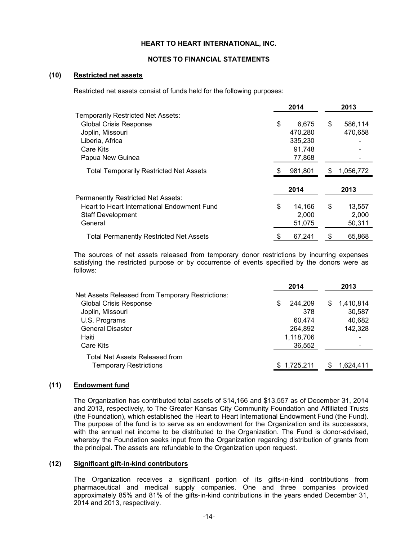#### **NOTES TO FINANCIAL STATEMENTS**

#### **(10) Restricted net assets**

Restricted net assets consist of funds held for the following purposes:

|                                                | 2014         |    | 2013      |
|------------------------------------------------|--------------|----|-----------|
| <b>Temporarily Restricted Net Assets:</b>      |              |    |           |
| <b>Global Crisis Response</b>                  | \$<br>6,675  | \$ | 586,114   |
| Joplin, Missouri                               | 470,280      |    | 470,658   |
| Liberia, Africa                                | 335,230      |    |           |
| Care Kits                                      | 91.748       |    |           |
| Papua New Guinea                               | 77,868       |    |           |
| <b>Total Temporarily Restricted Net Assets</b> | 981.801      | S  | 1,056,772 |
|                                                | 2014         |    | 2013      |
| Permanently Restricted Net Assets:             |              |    |           |
| Heart to Heart International Endowment Fund    | \$<br>14,166 | \$ | 13,557    |
| <b>Staff Development</b>                       | 2,000        |    | 2,000     |
| General                                        | 51,075       |    | 50,311    |
| <b>Total Permanently Restricted Net Assets</b> | 67,241       | \$ | 65,868    |

The sources of net assets released from temporary donor restrictions by incurring expenses satisfying the restricted purpose or by occurrence of events specified by the donors were as follows:

|                                                  | 2014          | 2013            |
|--------------------------------------------------|---------------|-----------------|
| Net Assets Released from Temporary Restrictions: |               |                 |
| <b>Global Crisis Response</b>                    | 244.209<br>\$ | 1,410,814<br>S. |
| Joplin, Missouri                                 | 378           | 30,587          |
| U.S. Programs                                    | 60.474        | 40,682          |
| <b>General Disaster</b>                          | 264,892       | 142,328         |
| Haiti                                            | 1,118,706     |                 |
| Care Kits                                        | 36,552        |                 |
| Total Net Assets Released from                   |               |                 |
| <b>Temporary Restrictions</b>                    | \$1,725,211   | 1,624,411<br>S  |

#### **(11) Endowment fund**

The Organization has contributed total assets of \$14,166 and \$13,557 as of December 31, 2014 and 2013, respectively, to The Greater Kansas City Community Foundation and Affiliated Trusts (the Foundation), which established the Heart to Heart International Endowment Fund (the Fund). The purpose of the fund is to serve as an endowment for the Organization and its successors, with the annual net income to be distributed to the Organization. The Fund is donor-advised, whereby the Foundation seeks input from the Organization regarding distribution of grants from the principal. The assets are refundable to the Organization upon request.

#### **(12) Significant gift-in-kind contributors**

The Organization receives a significant portion of its gifts-in-kind contributions from pharmaceutical and medical supply companies. One and three companies provided approximately 85% and 81% of the gifts-in-kind contributions in the years ended December 31, 2014 and 2013, respectively.